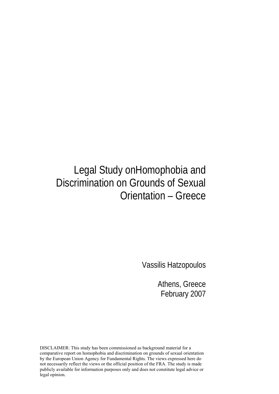## Legal Study onHomophobia and Discrimination on Grounds of Sexual Orientation – Greece

Vassilis Hatzopoulos

Athens, Greece February 2007

DISCLAIMER: This study has been commissioned as background material for a comparative report on homophobia and discrimination on grounds of sexual orientation by the European Union Agency for Fundamental Rights. The views expressed here do not necessarily reflect the views or the official position of the FRA. The study is made publicly available for information purposes only and does not constitute legal advice or legal opinion.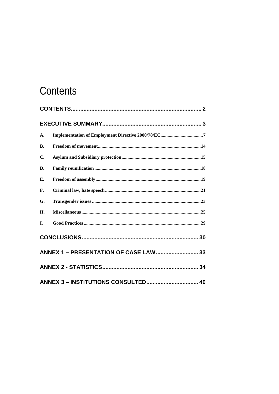# Contents

| A.        |  |
|-----------|--|
| <b>B.</b> |  |
| C.        |  |
| D.        |  |
| Е.        |  |
| F.        |  |
| G.        |  |
| H.        |  |
| I.        |  |
|           |  |
|           |  |
|           |  |
|           |  |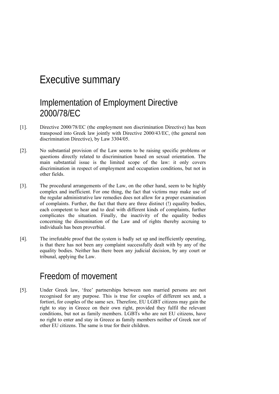## Executive summary

### Implementation of Employment Directive 2000/78/EC

- [1]. Directive 2000/78/EC (the employment non discrimination Directive) has been transposed into Greek law jointly with Directive 2000/43/EC, (the general non discrimination Directive), by Law 3304/05.
- [2]. No substantial provision of the Law seems to be raising specific problems or questions directly related to discrimination based on sexual orientation. The main substantial issue is the limited scope of the law: it only covers discrimination in respect of employment and occupation conditions, but not in other fields.
- [3]. The procedural arrangements of the Law, on the other hand, seem to be highly complex and inefficient. For one thing, the fact that victims may make use of the regular administrative law remedies does not allow for a proper examination of complaints. Further, the fact that there are three distinct (!) equality bodies, each competent to hear and to deal with different kinds of complaints, further complicates the situation. Finally, the inactivity of the equality bodies concerning the dissemination of the Law and of rights thereby accruing to individuals has been proverbial.
- [4]. The irrefutable proof that the system is badly set up and inefficiently operating, is that there has not been any complaint successfully dealt with by any of the equality bodies. Neither has there been any judicial decision, by any court or tribunal, applying the Law.

#### Freedom of movement

[5]. Under Greek law, 'free' partnerships between non married persons are not recognised for any purpose. This is true for couples of different sex and, a fortiori, for couples of the same sex. Therefore, EU LGBT citizens may gain the right to stay in Greece on their own right, provided they fulfil the relevant conditions, but not as family members. LGBTs who are not EU citizens, have no right to enter and stay in Greece as family members neither of Greek nor of other EU citizens. The same is true for their children.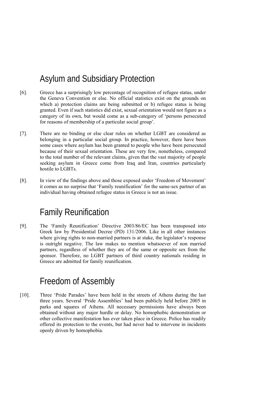### Asylum and Subsidiary Protection

- [6]. Greece has a surprisingly low percentage of recognition of refugee status, under the Geneva Convention or else. No official statistics exist on the grounds on which a) protection claims are being submitted or b) refugee status is being granted. Even if such statistics did exist, sexual orientation would not figure as a category of its own, but would come as a sub-category of 'persons persecuted for reasons of membership of a particular social group'.
- [7]. There are no binding or else clear rules on whether LGBT are considered as belonging in a particular social group. In practice, however, there have been some cases where asylum has been granted to people who have been persecuted because of their sexual orientation. These are very few, nonetheless, compared to the total number of the relevant claims, given that the vast majority of people seeking asylum in Greece come from Iraq and Iran, countries particularly hostile to LGBTs.
- [8]. In view of the findings above and those exposed under 'Freedom of Movement' it comes as no surprise that 'Family reunification' for the same-sex partner of an individual having obtained refugee status in Greece is not an issue.

### Family Reunification

[9]. The 'Family Reunification' Directive 2003/86/EC has been transposed into Greek law by Presidential Decree (PD) 131/2006. Like in all other instances where giving rights to non-married partners is at stake, the legislator's response is outright negative. The law makes no mention whatsoever of non married partners, regardless of whether they are of the same or opposite sex from the sponsor. Therefore, no LGBT partners of third country nationals residing in Greece are admitted for family reunification.

### Freedom of Assembly

[10]. Three 'Pride Parades' have been held in the streets of Athens during the last three years. Several 'Pride Assemblies' had been publicly held before 2005 in parks and squares of Athens. All necessary permissions have always been obtained without any major hurdle or delay. No homophobic demonstration or other collective manifestation has ever taken place in Greece. Police has readily offered its protection to the events, but had never had to intervene in incidents openly driven by homophobia.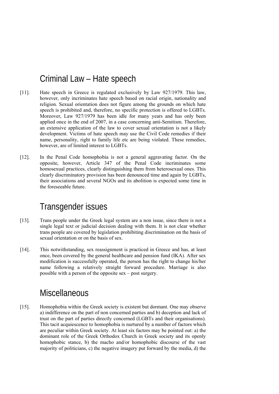### Criminal Law – Hate speech

- [11]. Hate speech in Greece is regulated exclusively by Law 927/1979. This law, however, only incriminates hate speech based on racial origin, nationality and religion. Sexual orientation does not figure among the grounds on which hate speech is prohibited and, therefore, no specific protection is offered to LGBTs. Moreover, Law 927/1979 has been idle for many years and has only been applied once in the end of 2007, in a case concerning anti-Semitism. Therefore, an extensive application of the law to cover sexual orientation is not a likely development. Victims of hate speech may use the Civil Code remedies if their name, personality, right to family life etc are being violated. These remedies, however, are of limited interest to LGBTs.
- [12]. In the Penal Code homophobia is not a general aggravating factor. On the opposite, however, Article 347 of the Penal Code incriminates some homosexual practices, clearly distinguishing them from heterosexual ones. This clearly discriminatory provision has been denounced time and again by LGBTs, their associations and several NGOs and its abolition is expected some time in the foreseeable future.

#### Transgender issues

- [13]. Trans people under the Greek legal system are a non issue, since there is not a single legal text or judicial decision dealing with them. It is not clear whether trans people are covered by legislation prohibiting discrimination on the basis of sexual orientation or on the basis of sex.
- [14]. This notwithstanding, sex reassignment is practiced in Greece and has, at least once, been covered by the general healthcare and pension fund (IKA). After sex modification is successfully operated, the person has the right to change his/her name following a relatively straight forward procedure. Marriage is also possible with a person of the opposite sex – post surgery.

#### Miscellaneous

[15]. Homophobia within the Greek society is existent but dormant. One may observe a) indifference on the part of non concerned parties and b) deception and lack of trust on the part of parties directly concerned (LGBTs and their organisations). This tacit acquiescence to homophobia is nurtured by a number of factors which are peculiar within Greek society. At least six factors may be pointed out: a) the dominant role of the Greek Orthodox Church in Greek society and its openly homophobic stance, b) the macho and/or homophobic discourse of the vast majority of politicians, c) the negative imagery put forward by the media, d) the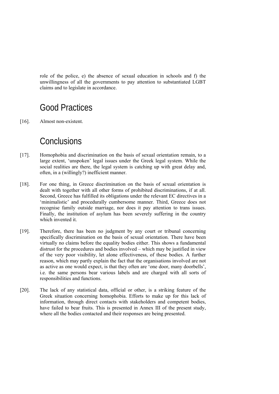role of the police, e) the absence of sexual education in schools and f) the unwillingness of all the governments to pay attention to substantiated LGBT claims and to legislate in accordance.

#### Good Practices

[16]. Almost non-existent.

#### **Conclusions**

- [17]. Homophobia and discrimination on the basis of sexual orientation remain, to a large extent, 'unspoken' legal issues under the Greek legal system. While the social realities are there, the legal system is catching up with great delay and, often, in a (willingly?) inefficient manner.
- [18]. For one thing, in Greece discrimination on the basis of sexual orientation is dealt with together with all other forms of prohibited discriminations, if at all. Second, Greece has fulfilled its obligations under the relevant EC directives in a 'minimalistic' and procedurally cumbersome manner. Third, Greece does not recognise family outside marriage, nor does it pay attention to trans issues. Finally, the institution of asylum has been severely suffering in the country which invented it.
- [19]. Therefore, there has been no judgment by any court or tribunal concerning specifically discrimination on the basis of sexual orientation. There have been virtually no claims before the equality bodies either. This shows a fundamental distrust for the procedures and bodies involved – which may be justified in view of the very poor visibility, let alone effectiveness, of these bodies. A further reason, which may partly explain the fact that the organisations involved are not as active as one would expect, is that they often are 'one door, many doorbells', i.e. the same persons bear various labels and are charged with all sorts of responsibilities and functions.
- [20]. The lack of any statistical data, official or other, is a striking feature of the Greek situation concerning homophobia. Efforts to make up for this lack of information, through direct contacts with stakeholders and competent bodies, have failed to bear fruits. This is presented in Annex III of the present study, where all the bodies contacted and their responses are being presented.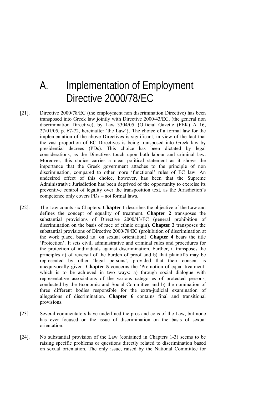## A. Implementation of Employment Directive 2000/78/EC

- [21]. Directive 2000/78/EC (the employment non discrimination Directive) has been transposed into Greek law jointly with Directive 2000/43/EC, (the general non discrimination Directive), by Law 3304/05 {Official Gazette (FEK) A 16, 27/01/05, p. 67-72, hereinafter 'the Law'}. The choice of a formal law for the implementation of the above Directives is significant, in view of the fact that the vast proportion of EC Directives is being transposed into Greek law by presidential decrees (PDs). This choice has been dictated by legal considerations, as the Directives touch upon both labour and criminal law. Moreover, this choice carries a clear political statement as it shows the importance that the Greek government attaches to the principle of non discrimination, compared to other more 'functional' rules of EC law. An undesired effect of this choice, however, has been that the Supreme Administrative Jurisdiction has been deprived of the opportunity to exercise its preventive control of legality over the transposition text, as the Jurisdiction's competence only covers PDs – not formal laws.
- [22]. The Law counts six Chapters: **Chapter 1** describes the objective of the Law and defines the concept of equality of treatment. **Chapter 2** transposes the substantial provisions of Directive 2000/43/EC (general prohibition of discrimination on the basis of race of ethnic origin). **Chapter 3** transposes the substantial provisions of Directive 2000/78/EC (prohibition of discrimination at the work place, based i.a. on sexual orientation). **Chapter 4** bears the title 'Protection'. It sets civil, administrative and criminal rules and procedures for the protection of individuals against discrimination. Further, it transposes the principles a) of reversal of the burden of proof and b) that plaintiffs may be represented by other 'legal persons', provided that their consent is unequivocally given. **Chapter 5** concerns the 'Promotion of equal treatment' which is to be achieved in two ways: a) through social dialogue with representative associations of the various categories of protected persons, conducted by the Economic and Social Committee and b) the nomination of three different bodies responsible for the extra-judicial examination of allegations of discrimination. **Chapter 6** contains final and transitional provisions.
- [23]. Several commentators have underlined the pros and cons of the Law, but none has ever focused on the issue of discrimination on the basis of sexual orientation.
- [24]. No substantial provision of the Law (contained in Chapters 1-3) seems to be raising specific problems or questions directly related to discrimination based on sexual orientation. The only issue, raised by the National Committee for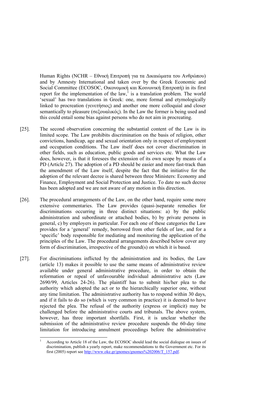Human Rights (NCHR – Εθνική Επιτροπή για τα Δικαιώματα του Ανθρώπου) and by Amnesty International and taken over by the Greek Economic and Social Committee (ECOSOC, Οικονομική και Κοινωνική Επιτροπή) in its first report for the implementation of the  $law<sup>1</sup>$  is a translation problem. The world 'sexual' has two translations in Greek: one, more formal and etymologically linked to procreation (γενετήσιος) and another one more colloquial and closer semantically to pleasure (σεξουαλικός). In the Law the former is being used and this could entail some bias against persons who do not aim in procreating.

- [25]. The second observation concerning the substantial content of the Law is its limited scope. The Law prohibits discrimination on the basis of religion, other convictions, handicap, age and sexual orientation only in respect of employment and occupation conditions. The Law itself does not cover discrimination in other fields, such as education, public goods and services etc. What the Law does, however, is that it foresees the extension of its own scope by means of a PD (Article 27). The adoption of a PD should be easier and more fast-track than the amendment of the Law itself, despite the fact that the initiative for the adoption of the relevant decree is shared between three Ministers: Economy and Finance, Employment and Social Protection and Justice. To date no such decree has been adopted and we are not aware of any motion in this direction.
- [26]. The procedural arrangements of the Law, on the other hand, require some more extensive commentaries. The Law provides (quasi-)separate remedies for discriminations occurring in three distinct situations: a) by the public administration and subordinate or attached bodies, b) by private persons in general, c) by employers in particular. For each one of these categories the Law provides for a 'general' remedy, borrowed from other fields of law, and for a 'specific' body responsible for mediating and monitoring the application of the principles of the Law. The procedural arrangements described below cover any form of discrimination, irrespective of the ground(s) on which it is based.
- [27]. For discriminations inflicted by the administration and its bodies, the Law (article 13) makes it possible to use the same means of administrative review available under general administrative procedure, in order to obtain the reformation or repeal of unfavourable individual administrative acts (Law 2690/99, Articles 24-26). The plaintiff has to submit his/her plea to the authority which adopted the act or to the hierarchically superior one, without any time limitation. The administrative authority has to respond within 30 days, and if it fails to do so (which is very common in practice) it is deemed to have rejected the plea. The refusal of the authority (express or implicit) may be challenged before the administrative courts and tribunals. The above system, however, has three important shortfalls. First, it is unclear whether the submission of the administrative review procedure suspends the 60-day time limitation for introducing annulment proceedings before the administrative

-

<sup>1</sup> According to Article 18 of the Law, the ECOSOC should lead the social dialogue on issues of discrimination, publish a yearly report, make recommendations to the Government etc. For its first (2005) report see http://www.oke.gr/gnomes/gnomes%202006/T\_157.pdf.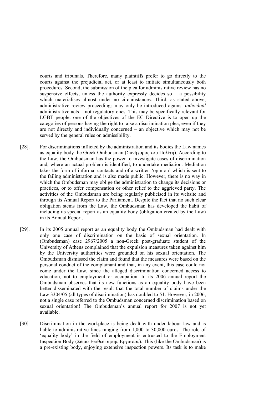courts and tribunals. Therefore, many plaintiffs prefer to go directly to the courts against the prejudicial act, or at least to initiate simultaneously both procedures. Second, the submission of the plea for administrative review has no suspensive effects, unless the authority expressly decides so  $-$  a possibility which materialises almost under no circumstances. Third, as stated above, administrative review proceedings may only be introduced against *individual* administrative acts – not regulatory ones. This may be specifically relevant for LGBT people: one of the objectives of the EC Directive is to open up the categories of persons having the right to raise a discrimination plea, even if they are not directly and individually concerned – an objective which may not be served by the general rules on admissibility.

- [28]. For discriminations inflicted by the administration and its bodies the Law names as equality body the Greek Ombudsman (Συνήγορος του Πολίτη). According to the Law, the Ombudsman has the power to investigate cases of discrimination and, where an actual problem is identified, to undertake mediation. Mediation takes the form of informal contacts and of a written 'opinion' which is sent to the failing administration and is also made public. However, there is no way in which the Ombudsman may oblige the administration to change its decisions or practices, or to offer compensation or other relief to the aggrieved party. The activities of the Ombudsman are being regularly publicised in its website and through its Annual Report to the Parliament. Despite the fact that no such clear obligation stems from the Law, the Ombudsman has developed the habit of including its special report as an equality body (obligation created by the Law) in its Annual Report.
- [29]. In its 2005 annual report as an equality body the Ombudsman had dealt with only one case of discrimination on the basis of sexual orientation. In (Ombudsman) case 2967/2005 a non-Greek post-graduate student of the University of Athens complained that the expulsion measures taken against him by the University authorities were grounded on his sexual orientation. The Ombudsman dismissed the claim and found that the measures were based on the personal conduct of the complainant and that, in any event, this case could not come under the Law, since the alleged discrimination concerned access to education, not to employment or occupation. In its 2006 annual report the Ombudsman observes that its new functions as an equality body have been better disseminated with the result that the total number of claims under the Law 3304/05 (all types of discrimination) has doubled to 51. However, in 2006, not a single case referred to the Ombudsman concerned discrimination based on sexual orientation! The Ombudsman's annual report for 2007 is not yet available.
- [30]. Discrimination in the workplace is being dealt with under labour law and is liable to administrative fines ranging from 1,000 to 30,000 euros. The role of 'equality body' in the field of employment is entrusted to the Employment Inspection Body (Σώμα Επιθεώρησης Εργασίας). This (like the Ombudsman) is a pre-existing body, enjoying extensive inspection powers. Its task is to make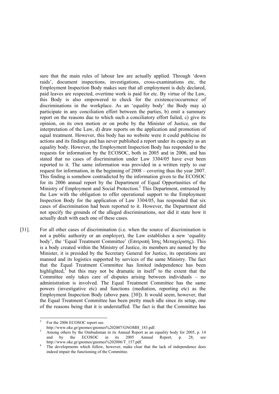sure that the main rules of labour law are actually applied. Through 'down raids', document inspections, investigations, cross-examinations etc, the Employment Inspection Body makes sure that all employment is duly declared, paid leaves are respected, overtime work is paid for etc. By virtue of the Law, this Body is also empowered to check for the existence/occurrence of discriminations in the workplace. As an 'equality body' the Body may a) participate in any conciliation effort between the parties, b) emit a summary report on the reasons due to which such a conciliatory effort failed, c) give its opinion, on its own motion or on probe by the Minister of Justice, on the interpretation of the Law, d) draw reports on the application and promotion of equal treatment. However, this body has no website were it could publicise its actions and its findings and has never published a report under its capacity as an equality body. However, the Employment Inspection Body has responded to the requests for information by the ECOSOC, both in 2005 and in 2006, and has stated that no cases of discrimination under Law 3304/05 have ever been reported to it. The same information was provided in a written reply to our request for information, in the beginning of 2008 – covering thus the year 2007. This finding is somehow contradicted by the information given to the ECOSOC for its 2006 annual report by the Department of Equal Opportunities of the Ministry of Employment and Social Protection.<sup>2</sup> This Department, entrusted by the Law with the obligation to offer operational support to the Employment Inspection Body for the application of Law 3304/05, has responded that six cases of discrimination had been reported to it. However, the Department did not specify the grounds of the alleged discriminations, nor did it state how it actually dealt with each one of these cases.

[31]. For all other cases of discrimination (i.e. when the source of discrimination is not a public authority or an employer), the Law establishes a new 'equality body', the 'Equal Treatment Committee' (Επιτροπή Ίσης Μεταχείρισης). This is a body created within the Ministry of Justice, its members are named by the Minister, it is presided by the Secretary General for Justice, its operations are manned and its logistics supported by services of the same Ministry. The fact that the Equal Treatment Committee has limited independence has been highlighted,<sup>3</sup> but this may not be dramatic in itself<sup>4</sup> to the extent that the Committee only takes care of disputes arising between individuals – no administration is involved. The Equal Treatment Committee has the same powers (investigative etc) and functions (mediation, reporting etc) as the Employment Inspection Body (above para. [30]). It would seem, however, that the Equal Treatment Committee has been pretty much idle since its setup, one of the reasons being that it is understaffed. The fact is that the Committee has

 $\frac{1}{2}$ For the 2006 ECOSOC report see.

http://www.oke.gr/gnomes/gnomes%202007/GNOMH\_183.pdf.

Among others by the Ombudsman in its Annual Report as an equality body for 2005, p. 14 and by the ECOSOC in its 2005 Annual Report, p. 28, see http://www.oke.gr/gnomes/gnomes%202006/T\_157.pdf.

The developments which follow, however, make clear that the lack of independence does indeed impair the functioning of the Committee.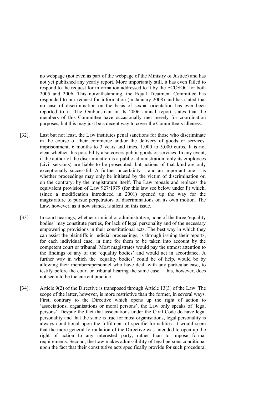no webpage (not even as part of the webpage of the Ministry of Justice) and has not yet published any yearly report. More importantly still, it has even failed to respond to the request for information addressed to it by the ECOSOC for both 2005 and 2006. This notwithstanding, the Equal Treatment Committee has responded to our request for information (in January 2008) and has stated that no case of discrimination on the basis of sexual orientation has ever been reported to it. The Ombudsman in its 2006 annual report states that the members of this Committee have occasionally met merely for coordination purposes, but this may just be a decent way to cover the Committee's idleness.

- [32]. Last but not least, the Law institutes penal sanctions for those who discriminate in the course of their commerce and/or the delivery of goods or services: imprisonment, 6 months to 3 years and fines, 1,000 to 5,000 euros. It is not clear whether this possibility also covers public goods or services. In any event, if the author of the discrimination is a public administration, only its employees (civil servants) are liable to be prosecuted, but actions of that kind are only exceptionally successful. A further uncertainty – and an important one – is whether proceedings may only be initiated by the victim of discrimination or, on the contrary, by the magistrature itself. The Law repeals and replaces the equivalent provision of Law 927/1979 (for this law see below under F) which, (since a modification introduced in 2001) opened up the way for the magistrature to pursue perpetrators of discriminations on its own motion. The Law, however, as it now stands, is silent on this issue.
- [33]. In court hearings, whether criminal or administrative, none of the three 'equality bodies' may constitute parties, for lack of legal personality and of the necessary empowering provisions in their constitutional acts. The best way in which they can assist the plaintiffs in judicial proceedings, is through issuing their reports, for each individual case, in time for them to be taken into account by the competent court or tribunal. Most magistrates would pay the utmost attention to the findings of any of the 'equality bodies' and would act in accordance. A further way in which the 'equality bodies' could be of help, would be by allowing their members/personnel who have dealt with any particular case, to testify before the court or tribunal hearing the same case – this, however, does not seem to be the current practice.
- [34]. Article 9(2) of the Directive is transposed through Article 13(3) of the Law. The scope of the latter, however, is more restrictive than the former, in several ways. First, contrary to the Directive which opens up the right of action to 'associations, organisations or moral persons', the Law only speaks of 'legal persons'. Despite the fact that associations under the Civil Code do have legal personality and that the same is true for most organisations, legal personality is always conditional upon the fulfilment of specific formalities. It would seem that the more general formulation of the Directive was intended to open up the right of action to any interested party, rather than to impose formal requirements. Second, the Law makes admissibility of legal persons conditional upon the fact that their constitutive acts specifically provide for such procedural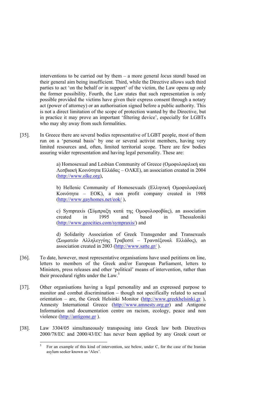interventions to be carried out by them – a more general *locus standi* based on their general aim being insufficient. Third, while the Directive allows such third parties to act 'on the behalf *or* in support' of the victim, the Law opens up only the former possibility. Fourth, the Law states that such representation is only possible provided the victims have given their express consent through a notary act (power of attorney) or an authorisation signed before a public authority. This is not a direct limitation of the scope of protection wanted by the Directive, but in practice it may prove an important 'filtering device', especially for LGBTs who may shy away from such formalities.

[35]. In Greece there are several bodies representative of LGBT people, most of them run on a 'personal basis' by one or several activist members, having very limited resources and, often, limited territorial scope. There are few bodies assuring wider representation and having legal personality. These are:

> a) Homosexual and Lesbian Community of Greece (Ομοφυλοφιλική και Λεσβιακή Κοινότητα Ελλάδας – ΟΛΚΕ), an association created in 2004 (http://www.olke.org),

> b) Hellenic Community of Homosexuals (Ελληνική Ομοφυλοφιλική Κοινότητα – ΕΟΚ), a non profit company created in 1988 (http://www.gayhomes.net/eok/ ),

> c) Sympraxis (Σύμπραξη κατά της Ομοφυλοφοβίας), an association created in 1995 and based in Thessaloniki (http://www.geocities.com/sympraxis/) and

> d) Solidarity Association of Greek Transgender and Transexuals (Σωματείο Αλληλεγγύης Τραβεστί – Τρανσέξουαλ Ελλάδος), an association created in 2003 (http://www.satte.gr/ ).

- [36]. To date, however, most representative organisations have used petitions on line, letters to members of the Greek and/or European Parliament, letters to Ministers, press releases and other 'political' means of intervention, rather than their procedural rights under the Law. $5$
- [37]. Other organisations having a legal personality and an expressed purpose to monitor and combat discrimination – though not specifically related to sexual orientation – are, the Greek Helsinki Monitor (http://www.greekhelsinki.gr ), Amnesty International Greece (http://www.amnesty.org.gr) and Antigone Information and documentation centre on racism, ecology, peace and non violence (http://antigone.gr ).
- [38]. Law 3304/05 simultaneously transposing into Greek law both Directives 2000/78/EC and 2000/43/EC has never been applied by any Greek court or

1

<sup>5</sup> For an example of this kind of intervention, see below, under C, for the case of the Iranian asylum seeker known as 'Alex'.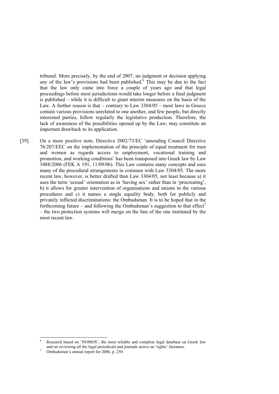tribunal. More precisely, by the end of 2007, no judgment or decision applying any of the law's provisions had been published.<sup> $6$ </sup> This may be due to the fact that the law only came into force a couple of years ago and that legal proceedings before most jurisdictions would take longer before a final judgment is published – while it is difficult to grant interim measures on the basis of the Law. A further reason is that – contrary to Law 3304/05 – most laws in Greece contain various provisions unrelated to one another, and few people, but directly interested parties, follow regularly the legislative production. Therefore, the lack of awareness of the possibilities opened up by the Law, may constitute an important drawback to its application.

[39]. On a more positive note, Directive 2002/73/EC 'amending Council Directive 76/207/EEC on the implementation of the principle of equal treatment for men and women as regards access to employment, vocational training and promotion, and working conditions' has been transposed into Greek law by Law 3488/2006 (FEK A 191, 11/09/06). This Law contains many concepts and uses many of the procedural arrangements in common with Law 3304/05. The more recent law, however, is better drafted than Law 3304/05, not least because a) it uses the term 'sexual' orientation as in 'having sex' rather than in 'procreating', b) it allows for greater intervention of organisations and unions in the various procedures and c) it names a single equality body, both for publicly and privately inflicted discriminations: the Ombudsman. It is to be hoped that in the forthcoming future – and following the Ombudsman's suggestion to that effect<sup>7</sup> – the two protection systems will merge on the line of the one instituted by the most recent law.

-

<sup>6</sup> Research based on 'NOMOS', the most reliable and complete legal database on Greek law and on reviewing all the legal periodicals and journals active on 'rights' literature.

Ombudsman's annual report for 2006, p. 250.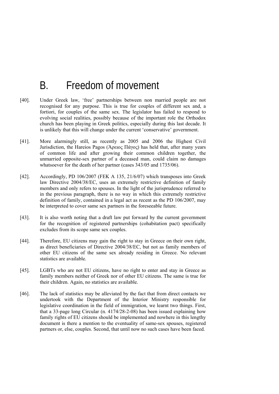## B. Freedom of movement

- [40]. Under Greek law, 'free' partnerships between non married people are not recognised for any purpose. This is true for couples of different sex and, a fortiori, for couples of the same sex. The legislator has failed to respond to evolving social realities, possibly because of the important role the Orthodox church has been playing in Greek politics, especially during this last decade. It is unlikely that this will change under the current 'conservative' government.
- [41]. More alarmingly still, as recently as 2005 and 2006 the Highest Civil Jurisdiction, the Hareios Pagos (Άρειος Πάγος) has held that, after many years of common life and after growing their common children together, the unmarried opposite-sex partner of a deceased man, could claim no damages whatsoever for the death of her partner (cases 343/05 and 1735/06).
- [42]. Accordingly, PD 106/2007 (FEK A 135, 21/6/07) which transposes into Greek law Directive 2004/38/EC, uses an extremely restrictive definition of family members and only refers to spouses. In the light of the jurisprudence referred to in the previous paragraph, there is no way in which this extremely restrictive definition of family, contained in a legal act as recent as the PD 106/2007, may be interpreted to cover same sex partners in the foreseeable future.
- [43]. It is also worth noting that a draft law put forward by the current government for the recognition of registered partnerships (cohabitation pact) specifically excludes from its scope same sex couples.
- [44]. Therefore, EU citizens may gain the right to stay in Greece on their own right, as direct beneficiaries of Directive 2004/38/EC, but not as family members of other EU citizens of the same sex already residing in Greece. No relevant statistics are available.
- [45]. LGBTs who are not EU citizens, have no right to enter and stay in Greece as family members neither of Greek nor of other EU citizens. The same is true for their children. Again, no statistics are available.
- [46]. The lack of statistics may be alleviated by the fact that from direct contacts we undertook with the Department of the Interior Ministry responsible for legislative coordination in the field of immigration, we learnt two things. First, that a 33-page long Circular (n. 4174/28-2-08) has been issued explaining how family rights of EU citizens should be implemented and nowhere in this lengthy document is there a mention to the eventuality of same-sex spouses, registered partners or, else, couples. Second, that until now no such cases have been faced.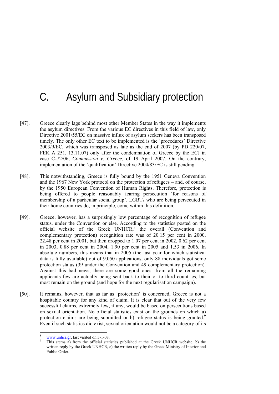# C. Asylum and Subsidiary protection

- [47]. Greece clearly lags behind most other Member States in the way it implements the asylum directives. From the various EC directives in this field of law, only Directive 2001/55/EC on massive influx of asylum seekers has been transposed timely. The only other EC text to be implemented is the 'procedures' Directive 2003/9/EC, which was transposed as late as the end of 2007 (by PD 220/07, FEK A 251, 13.11.07) only after the condemnation of Greece by the ECJ in case C-72/06, *Commission v. Greece*, of 19 April 2007. On the contrary, implementation of the 'qualification' Directive 2004/83/EC is still pending.
- [48]. This notwithstanding, Greece is fully bound by the 1951 Geneva Convention and the 1967 New York protocol on the protection of refugees – and, of course, by the 1950 European Convention of Human Rights. Therefore, protection is being offered to people reasonably fearing persecution 'for reasons of membership of a particular social group'. LGBTs who are being persecuted in their home countries do, in principle, come within this definition.
- [49]. Greece, however, has a surprisingly low percentage of recognition of refugee status, under the Convention or else. According to the statistics posted on the official website of the Greek UNHCR,<sup>8</sup> the overall (Convention and complementary protection) recognition rate was of 20.15 per cent in 2000, 22.48 per cent in 2001, but then dropped to 1.07 per cent in 2002, 0.62 per cent in 2003, 0.88 per cent in 2004, 1.90 per cent in 2005 and 1.53 in 2006. In absolute numbers, this means that in 2005 (the last year for which statistical data is fully available) out of 9.050 applications, only 88 individuals got some protection status (39 under the Convention and 49 complementary protection). Against this bad news, there are some good ones: from all the remaining applicants few are actually being sent back to their or to third countries, but most remain on the ground (and hope for the next regularisation campaign).
- [50]. It remains, however, that as far as 'protection' is concerned, Greece is not a hospitable country for any kind of claim. It is clear that out of the very few successful claims, extremely few, if any, would be based on persecutions based on sexual orientation. No official statistics exist on the grounds on which a) protection claims are being submitted or b) refugee status is being granted.<sup>9</sup> Even if such statistics did exist, sexual orientation would not be a category of its

1

<sup>8</sup>  $\frac{w_{\text{WW}}}{2}$  www.unher.gr, last visited on 3-1-08.

This stems a) from the official statistics published at the Greek UNHCR website, b) the written reply by the Greek UNHCR, c) the written reply by the Greek Ministry of Interior and Public Order.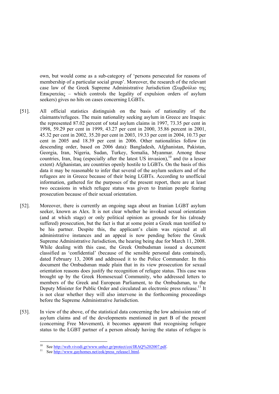own, but would come as a sub-category of 'persons persecuted for reasons of membership of a particular social group'. Moreover, the research of the relevant case law of the Greek Supreme Administrative Jurisdiction (Συμβούλιο της Eπικρατείας – which controls the legality of expulsion orders of asylum seekers) gives no hits on cases concerning LGBTs.

- [51]. All official statistics distinguish on the basis of nationality of the claimants/refugees. The main nationality seeking asylum in Greece are Iraquis: the represented 87.02 percent of total asylum claims in 1997, 73.35 per cent in 1998, 59.29 per cent in 1999, 43.27 per cent in 2000, 35.86 percent in 2001, 45.32 per cent in 2002, 35.20 per cent in 2003, 19.33 per cent in 2004, 10.73 per cent in 2005 and 18.39 per cent in 2006. Other nationalities follow (in descending order, based on 2006 data): Bangladesh, Afghanistan, Pakistan, Georgia, Iran, Nigeria, Sudan, Turkey, Somalia, Myanmar. Among these countries, Iran, Iraq (especially after the latest US invasion), $10$  and (to a lesser extent) Afghanistan, are countries openly hostile to LGBTs. On the basis of this data it may be reasonable to infer that several of the asylum seekers and of the refugees are in Greece because of their being LGBTs. According to unofficial information, gathered for the purposes of the present report, there are at least two occasions in which refugee status was given to Iranian people fearing prosecution because of their sexual orientation.
- [52]. Moreover, there is currently an ongoing saga about an Iranian LGBT asylum seeker, known as Alex. It is not clear whether he invoked sexual orientation (and at which stage) or only political opinion as grounds for his (already suffered) prosecution, but the fact is that at some point a Greek man testified to be his partner. Despite this, the applicant's claim was rejected at all administrative instances and an appeal is now pending before the Greek Supreme Administrative Jurisdiction, the hearing being due for March 11, 2008. While dealing with this case, the Greek Ombudsman issued a document classified as 'confidential' (because of the sensible personal data contained), dated February 13, 2008 and addressed it to the Police Commander. In this document the Ombudsman made plain that in its view prosecution for sexual orientation reasons does justify the recognition of refugee status. This case was brought up by the Greek Homosexual Community, who addressed letters to members of the Greek and European Parliament, to the Ombudsman, to the Deputy Minister for Public Order and circulated an electronic press release.<sup>11</sup> It is not clear whether they will also intervene in the forthcoming proceedings before the Supreme Administrative Jurisdiction.
- [53]. In view of the above, of the statistical data concerning the low admission rate of asylum claims and of the developments mentioned in part B of the present (concerning Free Movement), it becomes apparent that recognising refugee status to the LGBT partner of a person already having the status of refugee is

1

<sup>&</sup>lt;sup>10</sup> See http://web.vivodi.gr/www.unhcr.gr/protect/coi/IRAQ%202007.pdf.<br><sup>11</sup> See http://www.gayhomes.net/eok/press\_release1.html.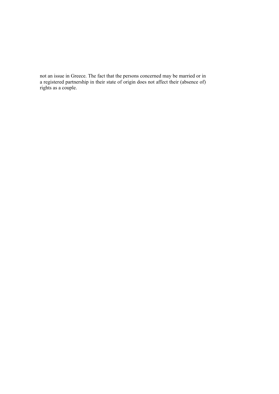not an issue in Greece. The fact that the persons concerned may be married or in a registered partnership in their state of origin does not affect their (absence of) rights as a couple.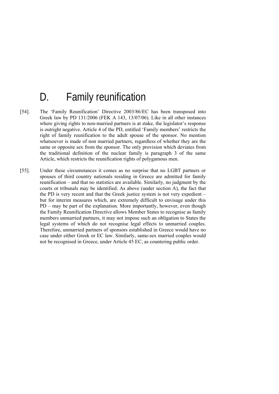## D. Family reunification

- [54]. The 'Family Reunification' Directive 2003/86/EC has been transposed into Greek law by PD 131/2006 (FEK A 143, 13/07/06). Like in all other instances where giving rights to non-married partners is at stake, the legislator's response is outright negative. Article 4 of the PD, entitled 'Family members' restricts the right of family reunification to the adult spouse of the sponsor. No mention whatsoever is made of non married partners, regardless of whether they are the same or opposite sex from the sponsor. The only provision which deviates from the traditional definition of the nuclear family is paragraph 3 of the same Article, which restricts the reunification rights of polygamous men.
- [55]. Under these circumstances it comes as no surprise that no LGBT partners or spouses of third country nationals residing in Greece are admitted for family reunification – and that no statistics are available. Similarly, no judgment by the courts or tribunals may be identified. As above (under section A), the fact that the PD is very recent and that the Greek justice system is not very expedient – but for interim measures which, are extremely difficult to envisage under this PD – may be part of the explanation. More importantly, however, even though the Family Reunification Directive allows Member States to recognise as family members unmarried partners, it may not impose such an obligation to States the legal systems of which do not recognise legal effects to unmarried couples. Therefore, unmarried partners of sponsors established in Greece would have no case under either Greek or EC law. Similarly, same-sex married couples would not be recognised in Greece, under Article 45 EC, as countering public order.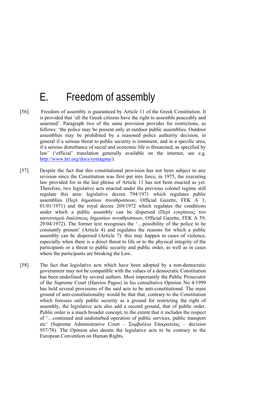## E. Freedom of assembly

- [56]. Freedom of assembly is guaranteed by Article 11 of the Greek Constitution. It is provided that 'all the Greek citizens have the right to assemble peaceably and unarmed'. Paragraph two of the same provision provides for restrictions, as follows: 'the police may be present only at outdoor public assemblies. Outdoor assemblies may be prohibited by a reasoned police authority decision, in general if a serious threat to public security is imminent, and in a specific area, if a serious disturbance of social and economic life is threatened, as specified by law' ('official' translation generally available on the internet, see e.g. http://www.hri.org/docs/syntagma/).
- [57]. Despite the fact that this constitutional provision has not been subject to any revision since the Constitution was first put into force, in 1975, the executing law provided for in the last phrase of Article 11 has not been enacted as yet. Therefore, two legislative acts enacted under the previous colonel regime still regulate this area: legislative decree 794/1971 which regulates public assemblies (Περί δημοσίων συναθροίσεων, Official Gazette, FEK A 1, 01/01/1971) and the royal decree 269/1972 which regulates the conditions under which a public assembly can be dispersed (Περί εγκρίσεως του κανονισμού διαλύσεως δημοσίων συναθροίσεων, Official Gazette, FEK A 59, 29/04/1972). The former text recognises the '…possibility of the police to be constantly present' (Article 4) and regulates the reasons for which a public assembly can be dispersed (Article 7): this may happen in cases of violence, especially when there is a direct threat to life or to the physical integrity of the participants or a threat to public security and public order, as well as in cases where the participants are breaking the Law.
- [58]. The fact that legislative acts which have been adopted by a non-democratic government may not be compatible with the values of a democratic Constitution has been underlined by several authors. Most importantly the Public Prosecutor of the Supreme Court (Hareios Pagos) in his consultative Opinion No 4/1999 has held several provisions of the said acts to be anti-constitutional. The main ground of anti-constitutionality would be that that, contrary to the Constitution which foresees only public security as a ground for restricting the right of assembly, the legislative acts also add a second ground, that of public order. Public order is a much broader concept, to the extent that it includes the respect of '…continued and undisturbed operation of public services, public transport etc' (Supreme Administrative Court – Συμβούλιο Επικρατείας – decision 957/78). The Opinion also deems the legislative acts to be contrary to the European Convention on Human Rights.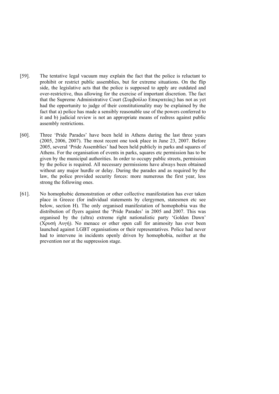- [59]. The tentative legal vacuum may explain the fact that the police is reluctant to prohibit or restrict public assemblies, but for extreme situations. On the flip side, the legislative acts that the police is supposed to apply are outdated and over-restrictive, thus allowing for the exercise of important discretion. The fact that the Supreme Administrative Court (Συμβούλιο Επικρατείας) has not as yet had the opportunity to judge of their constitutionality may be explained by the fact that a) police has made a sensibly reasonable use of the powers conferred to it and b) judicial review is not an appropriate means of redress against public assembly restrictions.
- [60]. Three 'Pride Parades' have been held in Athens during the last three years (2005, 2006, 2007). The most recent one took place in June 23, 2007. Before 2005, several 'Pride Assemblies' had been held publicly in parks and squares of Athens. For the organisation of events in parks, squares etc permission has to be given by the municipal authorities. In order to occupy public streets, permission by the police is required. All necessary permissions have always been obtained without any major hurdle or delay. During the parades and as required by the law, the police provided security forces: more numerous the first year, less strong the following ones.
- [61]. No homophobic demonstration or other collective manifestation has ever taken place in Greece (for individual statements by clergymen, statesmen etc see below, section H). The only organised manifestation of homophobia was the distribution of flyers against the 'Pride Parades' in 2005 and 2007. This was organised by the (ultra) extreme right nationalistic party 'Golden Dawn' (Χρυσή Αυγή). No menace or other open call for animosity has ever been launched against LGBT organisations or their representatives. Police had never had to intervene in incidents openly driven by homophobia, neither at the prevention nor at the suppression stage.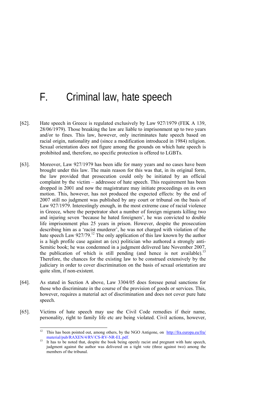## F. Criminal law, hate speech

- [62]. Hate speech in Greece is regulated exclusively by Law 927/1979 (FEK A 139, 28/06/1979). Those breaking the law are liable to imprisonment up to two years and/or to fines. This law, however, only incriminates hate speech based on racial origin, nationality and (since a modification introduced in 1984) religion. Sexual orientation does not figure among the grounds on which hate speech is prohibited and, therefore, no specific protection is offered to LGBTs.
- [63]. Moreover, Law 927/1979 has been idle for many years and no cases have been brought under this law. The main reason for this was that, in its original form, the law provided that prosecution could only be initiated by an official complaint by the victim – addressee of hate speech. This requirement has been dropped in 2001 and now the magistrature may initiate proceedings on its own motion. This, however, has not produced the expected effects: by the end of 2007 still no judgment was published by any court or tribunal on the basis of Law 927/1979. Interestingly enough, in the most extreme case of racial violence in Greece, where the perpetrator shot a number of foreign migrants killing two and injuring seven 'because he hated foreigners', he was convicted to double life imprisonment plus 25 years in prison. However, despite the prosecution describing him as a 'racist murderer', he was not charged with violation of the hate speech Law 927/79.<sup>12</sup> The only application of this law known by the author is a high profile case against an (ex) politician who authored a strongly anti-Semitic book; he was condemned in a judgment delivered late November 2007, the publication of which is still pending (and hence is not available).<sup>13</sup> Therefore, the chances for the existing law to be construed extensively by the judiciary in order to cover discrimination on the basis of sexual orientation are quite slim, if non-existent.
- [64]. As stated in Section A above, Law 3304/05 does foresee penal sanctions for those who discriminate in the course of the provision of goods or services. This, however, requires a material act of discrimination and does not cover pure hate speech.
- [65]. Victims of hate speech may use the Civil Code remedies if their name, personality, right to family life etc are being violated. Civil actions, however,

 $12$ 12 This has been pointed out, among others, by the NGO Antigone, on http://fra.europa.eu/fra/

material/pub/RAXEN/4/RV/CS-RV-NR-EL.pdf.<br><sup>13</sup> It has to be noted that, despite the book being openly racist and pregnant with hate speech, judgment against the author was delivered on a tight vote (three against two) among the members of the tribunal.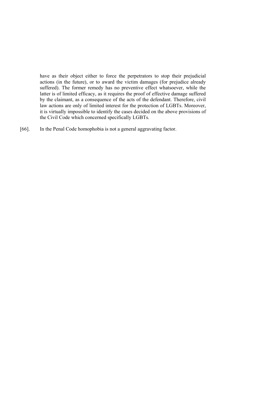have as their object either to force the perpetrators to stop their prejudicial actions (in the future), or to award the victim damages (for prejudice already suffered). The former remedy has no preventive effect whatsoever, while the latter is of limited efficacy, as it requires the proof of effective damage suffered by the claimant, as a consequence of the acts of the defendant. Therefore, civil law actions are only of limited interest for the protection of LGBTs. Moreover, it is virtually impossible to identify the cases decided on the above provisions of the Civil Code which concerned specifically LGBTs.

[66]. In the Penal Code homophobia is not a general aggravating factor.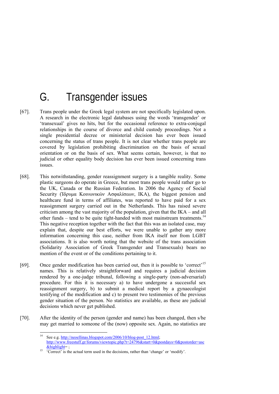## G. Transgender issues

- [67]. Trans people under the Greek legal system are not specifically legislated upon. A research in the electronic legal databases using the words 'transgender' or 'transexual' gives no hits, but for the occasional reference to extra-conjugal relationships in the course of divorce and child custody proceedings. Not a single presidential decree or ministerial decision has ever been issued concerning the status of trans people. It is not clear whether trans people are covered by legislation prohibiting discrimination on the basis of sexual orientation or on the basis of sex. What seems certain, however, is that no judicial or other equality body decision has ever been issued concerning trans issues.
- [68]. This notwithstanding, gender reassignment surgery is a tangible reality. Some plastic surgeons do operate in Greece, but most trans people would rather go to the UK, Canada or the Russian Federation. In 2006 the Agency of Social Security (Ίδρυμα Κοινωνικών Ασφαλίσεων, ΙΚΑ), the biggest pension and healthcare fund in terms of affiliates, was reported to have paid for a sex reassignment surgery carried out in the Netherlands. This has raised severe criticism among the vast majority of the population, given that the IKA – and all other funds – tend to be quite tight-handed with most mainstream treatments.<sup>14</sup> This negative reception together with the fact that this was an isolated case, may explain that, despite our best efforts, we were unable to gather any more information concerning this case, neither from IKA itself nor from LGBT associations. It is also worth noting that the website of the trans association (Solidarity Association of Greek Transgender and Transexuals) bears no mention of the event or of the conditions pertaining to it.
- [69]. Once gender modification has been carried out, then it is possible to 'correct'15 names. This is relatively straightforward and requires a judicial decision rendered by a one-judge tribunal, following a single-party (non-adversarial) procedure. For this it is necessary a) to have undergone a successful sex reassignment surgery, b) to submit a medical report by a gynaecologist testifying of the modification and c) to present two testimonies of the previous gender situation of the person. No statistics are available, as these are judicial decisions which never get published.
- [70]. After the identity of the person (gender and name) has been changed, then s/he may get married to someone of the (now) opposite sex. Again, no statistics are

 $14$ See e.g. http://neoellinas.blogspot.com/2006/10/blog-post\_12.html; http://www.freestuff.gr/forums/viewtopic.php?t=24796&start=0&postdays=0&postorder=asc  $\frac{\&\text{highlight}}{\&\text{Correct'}\&\text{is the actual term used in the decisions, rather than 'change' or 'modify'.}$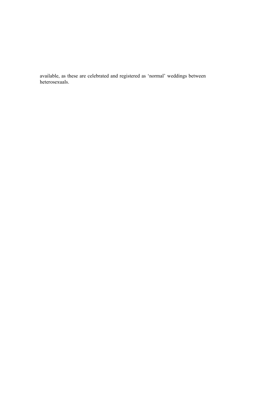available, as these are celebrated and registered as 'normal' weddings between heterosexuals.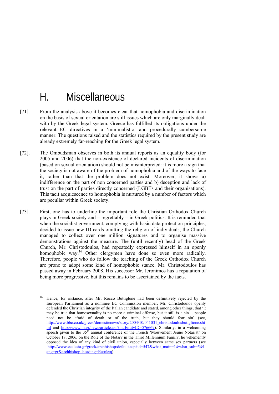## H. Miscellaneous

- [71]. From the analysis above it becomes clear that homophobia and discrimination on the basis of sexual orientation are still issues which are only marginally dealt with by the Greek legal system. Greece has fulfilled its obligations under the relevant EC directives in a 'minimalistic' and procedurally cumbersome manner. The questions raised and the statistics required by the present study are already extremely far-reaching for the Greek legal system.
- [72]. The Ombudsman observes in both its annual reports as an equality body (for 2005 and 2006) that the non-existence of declared incidents of discrimination (based on sexual orientation) should not be misinterpreted: it is more a sign that the society is not aware of the problem of homophobia and of the ways to face it, rather than that the problem does not exist. Moreover, it shows a) indifference on the part of non concerned parties and b) deception and lack of trust on the part of parties directly concerned (LGBTs and their organisations). This tacit acquiescence to homophobia is nurtured by a number of factors which are peculiar within Greek society.
- [73]. First, one has to underline the important role the Christian Orthodox Church plays in Greek society and – regrettably – in Greek politics. It is reminded that when the socialist government, complying with basic data protection principles, decided to issue new ID cards omitting the religion of individuals, the Church managed to collect over one million signatures and to organise massive demonstrations against the measure. The (until recently) head of the Greek Church, Mr. Christodoulos, had repeatedly expressed himself in an openly homophobic way.<sup>16</sup> Other clergymen have done so even more radically. Therefore, people who do follow the teaching of the Greek Orthodox Church are prone to adopt some kind of homophobic stance. Mr. Christodoulos has passed away in February 2008. His successor Mr. Jeronimos has a reputation of being more progressive, but this remains to be ascertained by the facts.

 $16^{1}$ 16 Hence, for instance, after Mr. Rocco Buttiglone had been definitively rejected by the European Parliament as a nominee EC Commission member, Mr. Christodoulos openly defended the Christian integrity of the Italian candidate and stated, among other things, that 'it may be true that homosexuality is no more a criminal offense, but it still is a sin …people need not be afraid of death or of the truth, but they should fear sin' (see, http://www.bbc.co.uk/greek/domesticnews/story/2004/10/041031\_christodoulosbutiglione.sht ml and http://www.in.gr/news/article.asp?lngEntityID=576669). Similarly, in a welcoming speech given to the  $35<sup>th</sup>$  annual conference of the French 'Mouvement Jeune Notariat' on October 18, 2006, on the Role of the Notary in the Third Millennium Family, he vehemently opposed the idea of any kind of civil union, especially between same sex partners (see http://www.ecclesia.gr/greek/archbishop/default.asp?id=547&what\_main=1&what\_sub=5&l ang=gr&archbishop\_heading=Ευρώπη).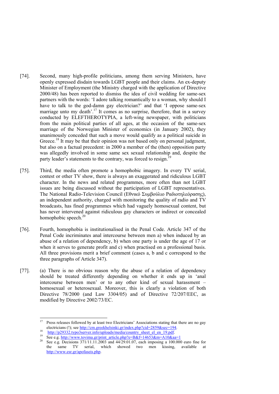- [74]. Second, many high-profile politicians, among them serving Ministers, have openly expressed disdain towards LGBT people and their claims. An ex-deputy Minister of Employment (the Ministry charged with the application of Directive 2000/48) has been reported to dismiss the idea of civil wedding for same-sex partners with the words: 'I adore talking romantically to a woman, why should I have to talk to the god-damn gay electrician?' and that 'I oppose same-sex marriage unto my death'.<sup>17</sup> It comes as no surprise, therefore, that in a survey conducted by ELEFTHEROTYPIA, a left-wing newspaper, with politicians from the main political parties of all ages, at the occasion of the same-sex marriage of the Norwegian Minister of economics (in January 2002), they unanimously conceded that such a move would qualify as a political suicide in Greece.<sup>18</sup> It may be that their opinion was not based only on personal judgment, but also on a factual precedent: in 2000 a member of the (then) opposition party was allegedly involved in some same sex sexual relationship and, despite the party leader's statements to the contrary, was forced to resign.<sup>1</sup>
- [75]. Third, the media often promote a homophobic imagery. In every TV serial, contest or other TV show, there is always an exaggerated and ridiculous LGBT character. In the news and related programmes, more often than not LGBT issues are being discussed without the participation of LGBT representatives. The National Radio-Television Council (Εθνικό Συμβούλιο Ραδιοτηλεόρασης), an independent authority, charged with monitoring the quality of radio and TV broadcasts, has fined programmes which had vaguely homosexual content, but has never intervened against ridiculous gay characters or indirect or concealed homophobic speech.<sup>20</sup>
- [76]. Fourth, homophobia is institutionalised in the Penal Code. Article 347 of the Penal Code incriminates anal intercourse between men a) when induced by an abuse of a relation of dependency, b) when one party is under the age of 17 or when it serves to generate profit and c) when practised on a professional basis. All three provisions merit a brief comment (cases a, b and c correspond to the three paragraphs of Article 347).
- [77]. (a) There is no obvious reason why the abuse of a relation of dependency should be treated differently depending on whether it ends up in 'anal intercourse between men' or to any other kind of sexual harassment – homosexual or heterosexual. Moreover, this is clearly a violation of both Directive 78/2000 (and Law 3304/05) and of Directive 72/207/EEC, as modified by Directive 2002/73/EC.

 $17$ Press releases followed by at least two Electricians' Associations stating that there are no gay electricians (!); see http://cm.greekhelsinki.gr/index.php?cid=2859&sec=194.

<sup>&</sup>lt;sup>18</sup> http://p29332.typo3server.info/uploads/media/country\_sheet\_el\_en\_19.pdf.<br><sup>19</sup> See e.g. http://www.tovima.gr/print\_article.php?e=B&f=14653&m=A10&aa=1<br><sup>20</sup> See e.g. Decisions 371/11.11.2003 and 44/29.01.07, each imposi the same TV serial, which showed two men kissing, available at http://www.esr.gr/apofaseis.php.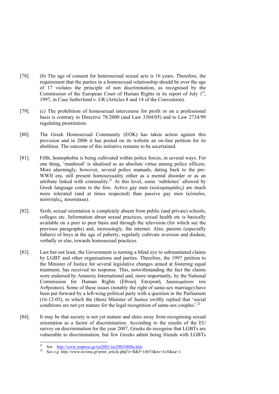- [78]. (b) The age of consent for heterosexual sexual acts is 16 years. Therefore, the requirement that the parties in a homosexual relationship should be over the age of 17 violates the principle of non discrimination, as recognised by the Commission of the European Court of Human Rights in its report of July  $1<sup>st</sup>$ , 1997, in Case *Sutherland v. UK* (Articles 8 and 14 of the Convention)*.*
- [79]. (c) The prohibition of homosexual intercourse for profit or on a professional basis is contrary to Directive 78/2000 (and Law 3304/05) and to Law 2734/99 regulating prostitution.
- [80]. The Greek Homosexual Community (EOK) has taken action against this provision and in 2006 it has posted on its website an on-line petition for its abolition. The outcome of this initiative remains to be ascertained.
- [81]. Fifth, homophobia is being cultivated within police forces, in several ways. For one thing, 'manhood' is idealised as an absolute virtue among police officers. More alarmingly, however, several police manuals, dating back to the pre-WWII era, still present homosexuality either as a mental disorder or as an attribute linked with criminality.<sup>21</sup> At this level, some 'subtleties' allowed by Greek language come to the fore. Active gay men (κωλομπαράδες) are much more tolerated (and at times respected) than passive gay men (κίναιδοι, πούστηδες, πουστάκια).
- [82]. Sixth, sexual orientation is completely absent from public (and private) schools, colleges etc. Information about sexual practices, sexual health etc is basically available on a peer to peer basis and through the television (for which see the previous paragraphs) and, increasingly, the internet. Also, parents (especially fathers) of boys at the age of puberty, regularly cultivate aversion and disdain, verbally or else, towards homosexual practices.
- [83]. Last but not least, the Government is turning a blind eye to substantiated claims by LGBT and other organisations and parties. Therefore, the 1997 petition to the Minister of Justice for several legislative changes aimed at fostering equal treatment, has received no response. This, notwithstanding the fact the claims were endorsed by Amnesty International and, more importantly, by the National Commission for Human Rights (Εθνική Επιτροπή Δικαιωμάτων του Ανθρώπου). Some of these issues (notably the right of same-sex marriage) have been put forward by a left-wing political party with a question in the Parliament (16-12-05), to which the (then) Minister of Justice swiftly replied that 'social conditions are not yet mature for the legal recognition of same-sex couples'.<sup>22</sup>
- [84]. It may be that society is not yet mature and shies away from recognising sexual orientation as a factor of discrimination. According to the results of the EU survey on discrimination for the year 2007, Greeks do recognise that LGBTs are vulnerable to discrimination, but few Greeks admit being friends with LGBTs

 $21$ 

<sup>&</sup>lt;sup>21</sup> See http://www.iospress.gr/ios2001/ios20010408a.htm.<br><sup>22</sup> See e.g. http://www.tovima.gr/print\_article.php?e=B&f=14653&m=A10&aa=1.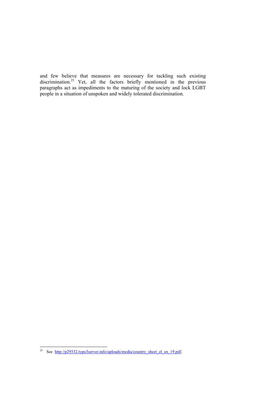and few believe that measures are necessary for tackling such existing discrimination.<sup>23</sup> Yet, all the factors briefly mentioned in the previous paragraphs act as impediments to the maturing of the society and lock LGBT people in a situation of unspoken and widely tolerated discrimination.

<sup>1</sup> <sup>23</sup> See http://p29332.typo3server.info/uploads/media/country\_sheet\_el\_en\_19.pdf.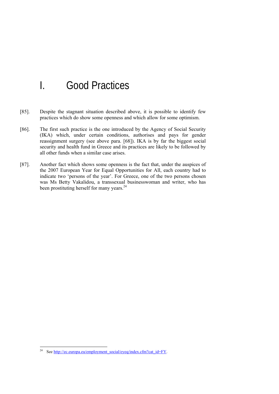# I. Good Practices

- [85]. Despite the stagnant situation described above, it is possible to identify few practices which do show some openness and which allow for some optimism.
- [86]. The first such practice is the one introduced by the Agency of Social Security (IKA) which, under certain conditions, authorises and pays for gender reassignment surgery (see above para. [68]). IKA is by far the biggest social security and health fund in Greece and its practices are likely to be followed by all other funds when a similar case arises.
- [87]. Another fact which shows some openness is the fact that, under the auspices of the 2007 European Year for Equal Opportunities for All, each country had to indicate two 'persons of the year'. For Greece, one of the two persons chosen was Ms Betty Vakalidou, a transsexual businesswoman and writer, who has been prostituting herself for many years.<sup>24</sup>

<sup>24</sup> See http://ec.europa.eu/employment\_social/eyeq/index.cfm?cat\_id=FY.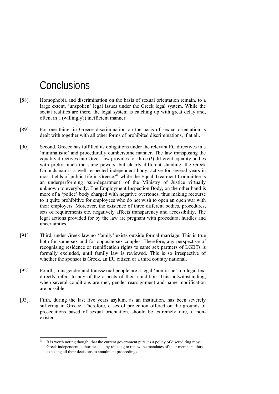## **Conclusions**

- [88]. Homophobia and discrimination on the basis of sexual orientation remain, to a large extent, 'unspoken' legal issues under the Greek legal system. While the social realities are there, the legal system is catching up with great delay and, often, in a (willingly?) inefficient manner.
- [89]. For one thing, in Greece discrimination on the basis of sexual orientation is dealt with together with all other forms of prohibited discriminations, if at all.
- [90]. Second, Greece has fulfilled its obligations under the relevant EC directives in a 'minimalistic' and procedurally cumbersome manner. The law transposing the equality directives into Greek law provides for three (!) different equality bodies with pretty much the same powers, but clearly different standing: the Greek Ombudsman is a well respected independent body, active for several years in most fields of public life in Greece, $25$  while the Equal Treatment Committee is an underperforming 'sub-department' of the Ministry of Justice virtually unknown to everybody. The Employment Inspection Body, on the other hand is more of a 'police' body charged with negative overtones, thus making recourse to it quite prohibitive for employees who do not wish to open an open war with their employers. Moreover, the existence of three different bodies, procedures, sets of requirements etc, negatively affects transparency and accessibility. The legal actions provided for by the law are pregnant with procedural hurdles and uncertainties.
- [91]. Third, under Greek law no 'family' exists outside formal marriage. This is true both for same-sex and for opposite-sex couples. Therefore, any perspective of recognising residence or reunification rights to same sex partners of LGBTs is formally excluded, until family law is reviewed. This is so irrespective of whether the sponsor is Greek, an EU citizen or a third country national.
- [92]. Fourth, transgender and transsexual people are a legal 'non-issue': no legal text directly refers to any of the aspects of their condition. This notwithstanding, when several conditions are met, gender reassignment and name modification are possible.
- [93]. Fifth, during the last five years asylum, as an institution, has been severely suffering in Greece. Therefore, cases of protection offered on the grounds of prosecutions based of sexual orientation, should be extremely rare, if nonexistent.

 $25\,$ It is worth noting though, that the current government pursues a policy of discrediting most Greek independent authorities, i.a. by refusing to renew the mandates of their members, thus exposing all their decisions to annulment proceedings.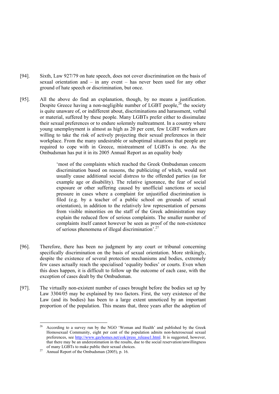- [94]. Sixth, Law 927/79 on hate speech, does not cover discrimination on the basis of sexual orientation and – in any event – has never been used for any other ground of hate speech or discrimination, but once.
- [95]. All the above do find an explanation, though, by no means a justification. Despite Greece having a non-negligible number of LGBT people,<sup>26</sup> the society is quite unaware of, or indifferent about, discriminations and harassment, verbal or material, suffered by these people. Many LGBTs prefer either to dissimulate their sexual preferences or to endure solemnly maltreatment. In a country where young unemployment is almost as high as 20 per cent, few LGBT workers are willing to take the risk of actively projecting their sexual preferences in their workplace. From the many undesirable or suboptimal situations that people are required to cope with in Greece, mistreatment of LGBTs is one. As the Ombudsman has put it in its 2005 Annual Report as an equality body

'most of the complaints which reached the Greek Ombudsman concern discrimination based on reasons, the publicizing of which, would not usually cause additional social distress to the offended parties (as for example age or disability). The relative ignorance, the fear of social exposure or other suffering caused by unofficial sanctions or social pressure in cases where a complaint for unjustified discrimination is filed (e.g. by a teacher of a public school on grounds of sexual orientation), in addition to the relatively low representation of persons from visible minorities on the staff of the Greek administration may explain the reduced flow of serious complaints. The smaller number of complaints itself cannot however be seen as proof of the non-existence of serious phenomena of illegal discrimination'.27

- [96]. Therefore, there has been no judgment by any court or tribunal concerning specifically discrimination on the basis of sexual orientation. More strikingly, despite the existence of several protection mechanisms and bodies, extremely few cases actually reach the specialised 'equality bodies' or courts. Even when this does happen, it is difficult to follow up the outcome of each case, with the exception of cases dealt by the Ombudsman.
- [97]. The virtually non-existent number of cases brought before the bodies set up by Law 3304/05 may be explained by two factors. First, the very existence of the Law (and its bodies) has been to a large extent unnoticed by an important proportion of the population. This means that, three years after the adoption of

<sup>26</sup> 26 According to a survey run by the NGO 'Woman and Health' and published by the Greek Homosexual Community, eight per cent of the population admits non-heterosexual sexual preferences, see http://www.gayhomes.net/eok/press\_release1.html. It is suggested, however, that there may be an underestimation in the results, due to the social reservation/unwillingness of many LGBTs to make public their sexual choices. 27 Annual Report of the Ombudsman (2005), p. 16.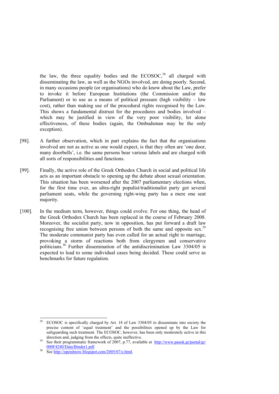the law, the three equality bodies and the  $ECOSOC<sub>1</sub><sup>28</sup>$  all charged with disseminating the law, as well as the NGOs involved, are doing poorly. Second, in many occasions people (or organisations) who do know about the Law, prefer to invoke it before European Institutions (the Commission and/or the Parliament) or to use as a means of political pressure (high visibility – low cost), rather than making use of the procedural rights recognised by the Law. This shows a fundamental distrust for the procedures and bodies involved – which may be justified in view of the very poor visibility, let alone effectiveness, of these bodies (again, the Ombudsman may be the only exception).

- [98]. A further observation, which in part explains the fact that the organisations involved are not as active as one would expect, is that they often are 'one door, many doorbells', i.e. the same persons bear various labels and are charged with all sorts of responsibilities and functions.
- [99]. Finally, the active role of the Greek Orthodox Church in social and political life acts as an important obstacle to opening up the debate about sexual orientation. This situation has been worsened after the 2007 parliamentary elections when, for the first time ever, an ultra-right populist/traditionalist party got several parliament seats, while the governing right-wing party has a mere one seat majority.
- [100]. In the medium term, however, things could evolve. For one thing, the head of the Greek Orthodox Church has been replaced in the course of February 2008. Moreover, the socialist party, now in opposition, has put forward a draft law recognising free union between persons of both the same and opposite sex.<sup>29</sup> The moderate communist party has even called for an actual right to marriage, provoking a storm of reactions both from clergymen and conservative politicians.<sup>30</sup> Further dissemination of the antidiscrimination Law 3304/05 is expected to lead to some individual cases being decided. These could serve as benchmarks for future regulation.

<sup>28</sup> ECOSOC is specifically charged by Art. 18 of Law 3304/05 to disseminate into society the precise content of 'equal treatment' and the possibilities opened up by the Law for safeguarding such treatment. The ECOSOC, however, has been only moderately active in this

direction and, judging from the effects, quite interference.<br>See their programmatic framework of 2007, p.77, available at  $\frac{http://www.pasok.gr/portal/gr/p000F4240/Data/Binder1.pdf.$ 

 $\frac{30}{\text{See http://openitnow.blogspot.com/2005/07/e.html}}$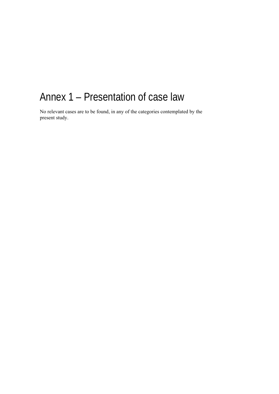# Annex 1 – Presentation of case law

No relevant cases are to be found, in any of the categories contemplated by the present study.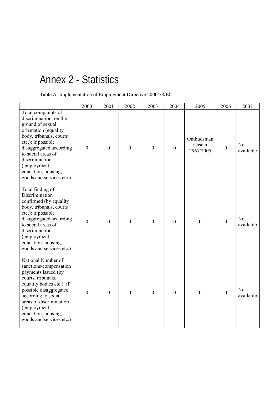# Annex 2 - Statistics

Table A: Implementation of Employment Directive 2000/78/EC

|                                                                                                                                                                                                                                                                                  | 2000             | 2001             | 2002             | 2003             | 2004             | 2005                             | 2006         | 2007                    |
|----------------------------------------------------------------------------------------------------------------------------------------------------------------------------------------------------------------------------------------------------------------------------------|------------------|------------------|------------------|------------------|------------------|----------------------------------|--------------|-------------------------|
| Total complaints of<br>discrimination on the<br>ground of sexual<br>orientation (equality<br>body, tribunals, courts<br>etc.): if possible<br>disaggregated according<br>to social areas of<br>discrimination<br>(employment,<br>education, housing,<br>goods and services etc.) | $\mathbf{0}$     | $\boldsymbol{0}$ | $\mathbf{0}$     | $\mathbf{0}$     | $\mathbf{0}$     | Ombudsman<br>Case n<br>2967/2005 | $\mathbf{0}$ | Not<br>available        |
| Total finding of<br>Discrimination<br>confirmed (by equality<br>body, tribunals, courts<br>etc.): if possible<br>disaggregated according<br>to social areas of<br>discrimination<br>(employment,<br>education, housing,<br>goods and services etc.)                              | $\boldsymbol{0}$ | $\boldsymbol{0}$ | $\boldsymbol{0}$ | $\boldsymbol{0}$ | $\boldsymbol{0}$ | $\boldsymbol{0}$                 | $\mathbf{0}$ | <b>Not</b><br>available |
| National Number of<br>sanctions/compensation<br>payments issued (by<br>courts, tribunals,<br>equality bodies etc.): if<br>possible disaggregated<br>according to social<br>areas of discrimination<br>(employment,<br>education, housing,<br>goods and services etc.)            | $\theta$         | $\mathbf{0}$     | $\overline{0}$   | $\mathbf{0}$     | $\overline{0}$   | $\boldsymbol{0}$                 | $\mathbf{0}$ | <b>Not</b><br>available |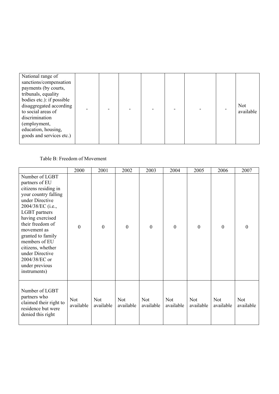| National range of<br>sanctions/compensation<br>payments (by courts,<br>tribunals, equality<br>bodies etc.): if possible<br>disaggregated according<br>to social areas of |  |  |  | <b>Not</b><br>available |
|--------------------------------------------------------------------------------------------------------------------------------------------------------------------------|--|--|--|-------------------------|
| discrimination                                                                                                                                                           |  |  |  |                         |
| (employment,                                                                                                                                                             |  |  |  |                         |
| education, housing,                                                                                                                                                      |  |  |  |                         |
| goods and services etc.)                                                                                                                                                 |  |  |  |                         |
|                                                                                                                                                                          |  |  |  |                         |

Table B: Freedom of Movement

|                                                                                                                                                                                                                                                                                                                                   | 2000             | 2001                    | 2002                    | 2003                    | 2004                    | 2005                    | 2006                    | 2007                    |
|-----------------------------------------------------------------------------------------------------------------------------------------------------------------------------------------------------------------------------------------------------------------------------------------------------------------------------------|------------------|-------------------------|-------------------------|-------------------------|-------------------------|-------------------------|-------------------------|-------------------------|
| Number of LGBT<br>partners of EU<br>citizens residing in<br>your country falling<br>under Directive<br>2004/38/EC (i.e.,<br>LGBT partners<br>having exercised<br>their freedom of<br>movement as<br>granted to family<br>members of EU<br>citizens, whether<br>under Directive<br>2004/38/EC or<br>under previous<br>instruments) | $\overline{0}$   | $\overline{0}$          | $\mathbf{0}$            | $\mathbf{0}$            | $\mathbf{0}$            | $\mathbf{0}$            | $\theta$                | $\theta$                |
| Number of LGBT<br>partners who<br>claimed their right to<br>residence but were<br>denied this right                                                                                                                                                                                                                               | Not<br>available | <b>Not</b><br>available | <b>Not</b><br>available | <b>Not</b><br>available | <b>Not</b><br>available | <b>Not</b><br>available | <b>Not</b><br>available | <b>Not</b><br>available |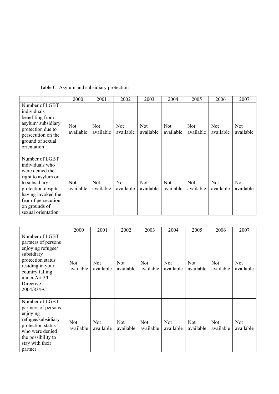|                                                                                                                                                                                                       | 2000                    | 2001                    | 2002                    | 2003                    | 2004             | 2005             | 2006                    | 2007                    |
|-------------------------------------------------------------------------------------------------------------------------------------------------------------------------------------------------------|-------------------------|-------------------------|-------------------------|-------------------------|------------------|------------------|-------------------------|-------------------------|
| Number of LGBT<br>individuals<br>benefiting from<br>asylum/subsidiary<br>protection due to<br>persecution on the<br>ground of sexual<br>orientation                                                   | <b>Not</b><br>available | <b>Not</b><br>available | Not<br>available        | Not<br>available        | Not<br>available | Not<br>available | Not<br>available        | <b>Not</b><br>available |
| Number of LGBT<br>individuals who<br>were denied the<br>right to asylum or<br>to subsidiary<br>protection despite<br>having invoked the<br>fear of persecution<br>on grounds of<br>sexual orientation | <b>Not</b><br>available | <b>Not</b><br>available | <b>Not</b><br>available | <b>Not</b><br>available | Not<br>available | Not<br>available | <b>Not</b><br>available | <b>Not</b><br>available |

#### Table C: Asylum and subsidiary protection

|                                                                                                                                                                                  | 2000                    | 2001             | 2002                    | 2003                    | 2004                    | 2005                    | 2006                    | 2007                    |
|----------------------------------------------------------------------------------------------------------------------------------------------------------------------------------|-------------------------|------------------|-------------------------|-------------------------|-------------------------|-------------------------|-------------------------|-------------------------|
| Number of LGBT<br>partners of persons<br>enjoying refugee/<br>subsidiary<br>protection status<br>residing in your<br>country falling<br>under Art 2/h<br>Directive<br>2004/83/EC | <b>Not</b><br>available | Not<br>available | <b>Not</b><br>available | <b>Not</b><br>available | <b>Not</b><br>available | <b>Not</b><br>available | <b>Not</b><br>available | <b>Not</b><br>available |
| Number of LGBT<br>partners of persons<br>enjoying<br>refugee/subsidiary<br>protection status<br>who were denied<br>the possibility to<br>stay with their<br>partner              | <b>Not</b><br>available | Not<br>available | <b>Not</b><br>available | <b>Not</b><br>available | <b>Not</b><br>available | <b>Not</b><br>available | <b>Not</b><br>available | <b>Not</b><br>available |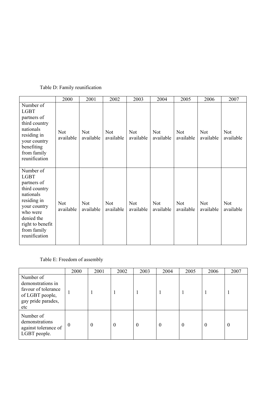|                                                                                                                                                                                    | 2000                    | 2001                    | 2002                    | 2003                    | 2004                    | 2005                    | 2006                    | 2007                    |
|------------------------------------------------------------------------------------------------------------------------------------------------------------------------------------|-------------------------|-------------------------|-------------------------|-------------------------|-------------------------|-------------------------|-------------------------|-------------------------|
| Number of<br><b>LGBT</b><br>partners of<br>third country<br>nationals<br>residing in<br>your country<br>benefiting<br>from family<br>reunification                                 | Not<br>available        | <b>Not</b><br>available | <b>Not</b><br>available | <b>Not</b><br>available | <b>Not</b><br>available | <b>Not</b><br>available | <b>Not</b><br>available | <b>Not</b><br>available |
| Number of<br><b>LGBT</b><br>partners of<br>third country<br>nationals<br>residing in<br>your country<br>who were<br>denied the<br>right to benefit<br>from family<br>reunification | <b>Not</b><br>available | <b>Not</b><br>available | <b>Not</b><br>available | <b>Not</b><br>available | <b>Not</b><br>available | <b>Not</b><br>available | <b>Not</b><br>available | <b>Not</b><br>available |

#### Table D: Family reunification

#### Table E: Freedom of assembly

|                                                                                                       | 2000     | 2001     | 2002     | 2003     | 2004     | 2005     | 2006     | 2007             |
|-------------------------------------------------------------------------------------------------------|----------|----------|----------|----------|----------|----------|----------|------------------|
| Number of<br>demonstrations in<br>favour of tolerance<br>of LGBT people,<br>gay pride parades,<br>etc | л        |          |          |          |          |          |          |                  |
| Number of<br>demonstrations<br>against tolerance of<br>LGBT people.                                   | $\theta$ | $\theta$ | $\theta$ | $\theta$ | $\theta$ | $\theta$ | $\theta$ | $\boldsymbol{0}$ |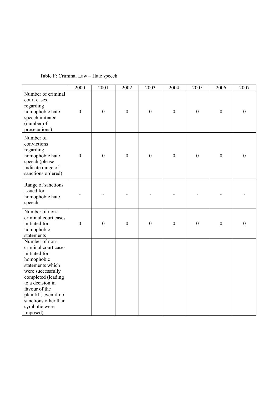| Table F: Criminal Law - Hate speech |  |
|-------------------------------------|--|
|-------------------------------------|--|

|                                                                                                                                                                                                                                                         | 2000             | 2001             | 2002         | 2003             | 2004             | 2005             | 2006             | 2007             |
|---------------------------------------------------------------------------------------------------------------------------------------------------------------------------------------------------------------------------------------------------------|------------------|------------------|--------------|------------------|------------------|------------------|------------------|------------------|
| Number of criminal<br>court cases<br>regarding<br>homophobic hate<br>speech initiated<br>(number of<br>prosecutions)                                                                                                                                    | $\boldsymbol{0}$ | $\mathbf{0}$     | $\mathbf{0}$ | $\mathbf{0}$     | $\boldsymbol{0}$ | $\boldsymbol{0}$ | $\mathbf{0}$     | $\boldsymbol{0}$ |
| Number of<br>convictions<br>regarding<br>homophobic hate<br>speech (please<br>indicate range of<br>sanctions ordered)                                                                                                                                   | $\boldsymbol{0}$ | $\boldsymbol{0}$ | $\mathbf{0}$ | $\boldsymbol{0}$ | $\boldsymbol{0}$ | $\mathbf{0}$     | $\boldsymbol{0}$ | $\mathbf{0}$     |
| Range of sanctions<br>issued for<br>homophobic hate<br>speech                                                                                                                                                                                           |                  |                  |              |                  |                  |                  |                  |                  |
| Number of non-<br>criminal court cases<br>initiated for<br>homophobic<br>statements                                                                                                                                                                     | $\boldsymbol{0}$ | $\boldsymbol{0}$ | $\mathbf{0}$ | $\mathbf{0}$     | $\boldsymbol{0}$ | $\boldsymbol{0}$ | $\boldsymbol{0}$ | $\boldsymbol{0}$ |
| Number of non-<br>criminal court cases<br>initiated for<br>homophobic<br>statements which<br>were successfully<br>completed (leading<br>to a decision in<br>favour of the<br>plaintiff, even if no<br>sanctions other than<br>symbolic were<br>imposed) |                  |                  |              |                  |                  |                  |                  |                  |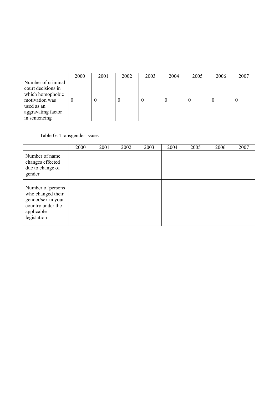|                                                                                                                                     | 2000 | 2001 | 2002     | 2003     | 2004     | 2005 | 2006 | 2007 |
|-------------------------------------------------------------------------------------------------------------------------------------|------|------|----------|----------|----------|------|------|------|
| Number of criminal<br>court decisions in<br>which homophobic<br>motivation was<br>used as an<br>aggravating factor<br>in sentencing | 0    |      | $\theta$ | $\theta$ | $\theta$ | O    | U    |      |

#### Table G: Transgender issues

|                                                                                                                | 2000 | 2001 | 2002 | 2003 | 2004 | 2005 | 2006 | 2007 |
|----------------------------------------------------------------------------------------------------------------|------|------|------|------|------|------|------|------|
| Number of name<br>changes effected<br>due to change of<br>gender                                               |      |      |      |      |      |      |      |      |
| Number of persons<br>who changed their<br>gender/sex in your<br>country under the<br>applicable<br>legislation |      |      |      |      |      |      |      |      |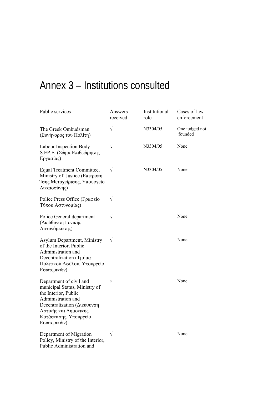# Annex 3 – Institutions consulted

| Public services                                                                                                                                                                                        | Answers<br>received | Institutional<br>role | Cases of law<br>enforcement |
|--------------------------------------------------------------------------------------------------------------------------------------------------------------------------------------------------------|---------------------|-----------------------|-----------------------------|
| The Greek Ombudsman<br>(Συνήγορος του Πολίτη)                                                                                                                                                          | $\sqrt{}$           | N3304/05              | One judged not<br>founded   |
| Labour Inspection Body<br>S.EP.E. (Σώμα Επιθεώρησης<br>Εργασίας)                                                                                                                                       | $\sqrt{}$           | N3304/05              | None                        |
| Equal Treatment Committee,<br>Ministry of Justice (Επιτροπή<br>Ίσης Μεταχείρισης, Υπουργείο<br>Δικαιοσύνης)                                                                                            | $\sqrt{}$           | N3304/05              | None                        |
| Police Press Office (Γραφείο<br>Τύπου Αστυνομίας)                                                                                                                                                      | $\sqrt{}$           |                       |                             |
| Police General department<br>(Διεύθυνση Γενικής<br>Αστυνόμευσης)                                                                                                                                       | $\sqrt{}$           |                       | None                        |
| Asylum Department, Ministry<br>of the Interior, Public<br>Administration and<br>Decentralization (Τμήμα<br>Πολιτικού Ασύλου, Υπουργείο<br>Εσωτερικών)                                                  | $\sqrt{}$           |                       | None                        |
| Department of civil and<br>municipal Status, Ministry of<br>the Interior, Public<br>Administration and<br>Decentralization (Διεύθυνση<br>Αστικής και Δημοτικής<br>Κατάστασης, Υπουργείο<br>Εσωτερικών) | $\times$            |                       | None                        |
| Department of Migration<br>Policy, Ministry of the Interior,<br>Public Administration and                                                                                                              | $\sqrt{}$           |                       | None                        |